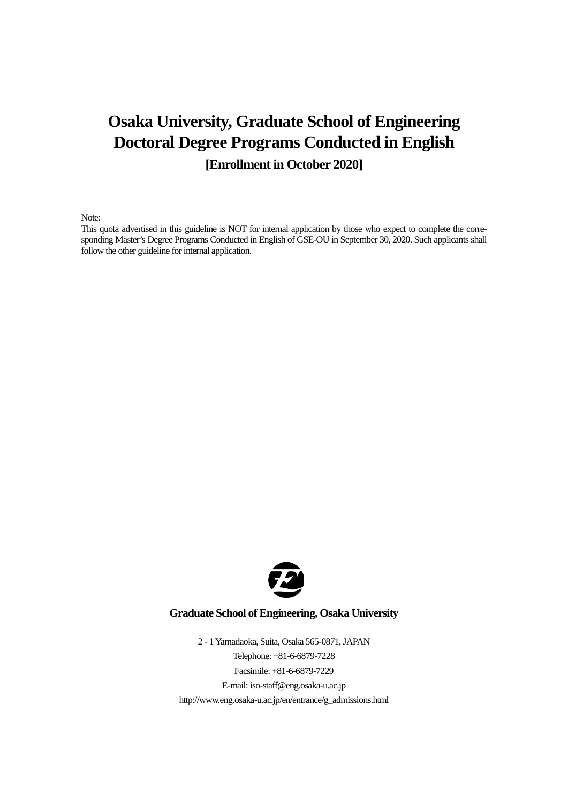# **Osaka University, Graduate School of Engineering Doctoral Degree Programs Conducted in English [Enrollment in October 2020]**

Note:

This quota advertised in this guideline is NOT for internal application by those who expect to complete the corresponding Master's Degree Programs Conducted in English of GSE-OU in September 30, 2020. Such applicants shall follow the other guideline for internal application.



### **Graduate School of Engineering, Osaka University**

2 - 1 Yamadaoka, Suita, Osaka 565-0871, JAPAN Telephone: +81-6-6879-7228 Facsimile: +81-6-6879-7229 E-mail: iso-staff@eng.osaka-u.ac.jp [http://www.eng.osaka-u.ac.jp/en/entrance/g\\_admissions.html](http://www.eng.osaka-u.ac.jp/en/entrance/g_admissions.html)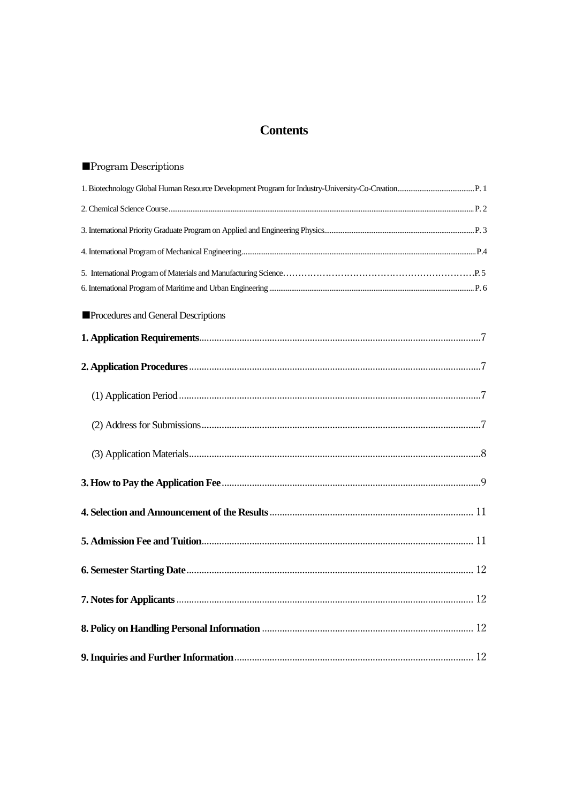## **Contents**

| <b>Program Descriptions</b>         |  |
|-------------------------------------|--|
|                                     |  |
|                                     |  |
|                                     |  |
|                                     |  |
|                                     |  |
| Procedures and General Descriptions |  |
|                                     |  |
|                                     |  |
|                                     |  |
|                                     |  |
|                                     |  |
|                                     |  |
|                                     |  |
|                                     |  |
|                                     |  |
|                                     |  |
|                                     |  |
|                                     |  |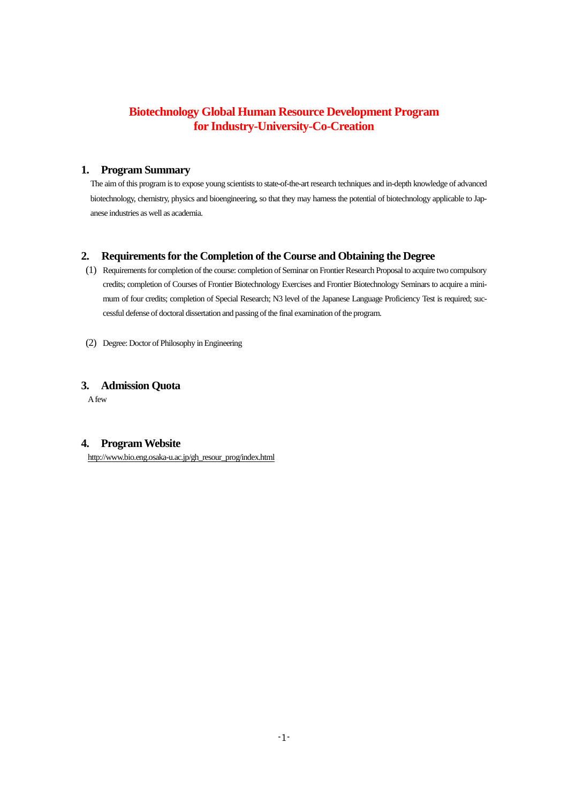## **Biotechnology Global Human Resource Development Program for Industry-University-Co-Creation**

#### **1. Program Summary**

 The aim of this program is to expose young scientists to state-of-the-art research techniques and in-depth knowledge of advanced biotechnology, chemistry, physics and bioengineering, so that they may harness the potential of biotechnology applicable to Japanese industries as well as academia.

### **2. Requirements for the Completion of the Course and Obtaining the Degree**

- (1) Requirements for completion of the course: completion of Seminar on Frontier Research Proposal to acquire two compulsory credits; completion of Courses of Frontier Biotechnology Exercises and Frontier Biotechnology Seminars to acquire a minimum of four credits; completion of Special Research; N3 level of the Japanese Language Proficiency Test is required; successful defense of doctoral dissertation and passing of the final examination of the program.
- (2) Degree: Doctor of Philosophy in Engineering

### **3. Admission Quota**

A few

## **4. Program Website**

[http://www.bio.eng.osaka-u.ac.jp/gh\\_resour\\_prog/index.html](http://www.bio.eng.osaka-u.ac.jp/gh_resour_prog/index.html)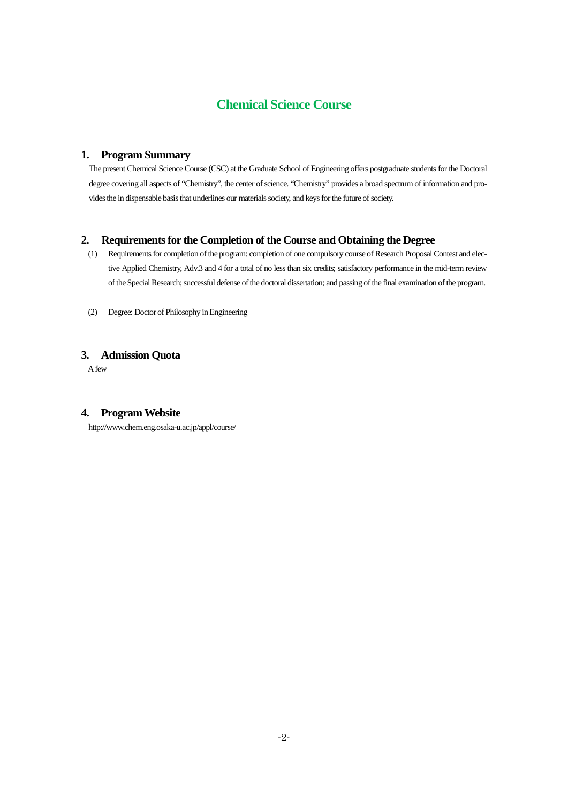## **Chemical Science Course**

#### **1. Program Summary**

 The present Chemical Science Course (CSC) at the Graduate School of Engineering offers postgraduate students for the Doctoral degree covering all aspects of "Chemistry", the center of science. "Chemistry" provides a broad spectrum of information and provides the in dispensable basis that underlines our materials society, and keys for the future of society.

#### **2. Requirements for the Completion of the Course and Obtaining the Degree**

- (1) Requirements for completion of the program: completion of one compulsory course of Research Proposal Contest and elective Applied Chemistry, Adv.3 and 4 for a total of no less than six credits; satisfactory performance in the mid-term review of the Special Research; successful defense of the doctoral dissertation; and passing of the final examination of the program.
- (2) Degree: Doctor of Philosophy in Engineering

### **3. Admission Quota**

A few

#### **4. Program Website**

http://www.chem.eng.osaka-u.ac.jp/appl/course/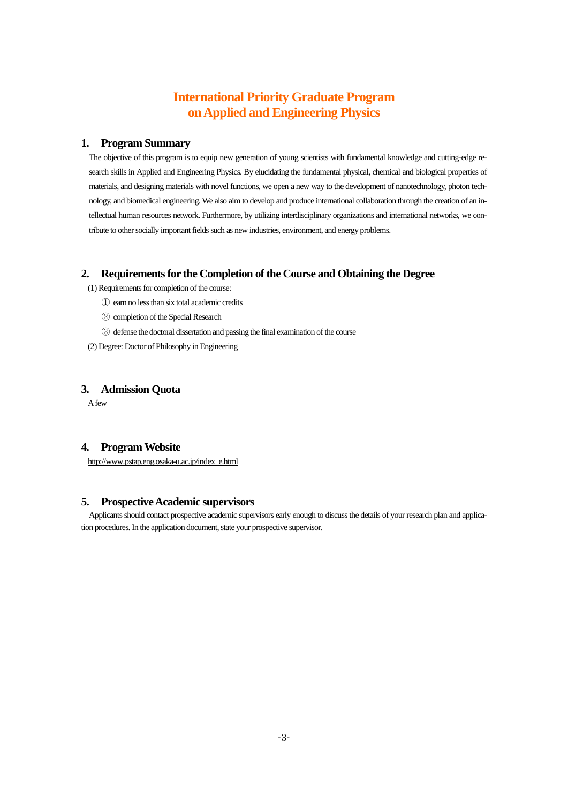## **International Priority Graduate Program on Applied and Engineering Physics**

#### **1. Program Summary**

The objective of this program is to equip new generation of young scientists with fundamental knowledge and cutting-edge research skills in Applied and Engineering Physics. By elucidating the fundamental physical, chemical and biological properties of materials, and designing materials with novel functions, we open a new way to the development of nanotechnology, photon technology, and biomedical engineering. We also aim to develop and produce international collaboration through the creation of an intellectual human resources network. Furthermore, by utilizing interdisciplinary organizations and international networks, we contribute to other socially important fields such as new industries, environment, and energy problems.

### **2.** Requirements for the Completion of the Course and Obtaining the Degree

(1) Requirements for completion of the course:

- ① earn no less than six total academic credits
- ② completion of the Special Research
- ③ defense the doctoral dissertation and passing the final examination of the course
- (2) Degree: Doctor of Philosophy in Engineering

#### **3. Admission Quota**

A few

### **4. Program Website**

http://www.pstap.eng.osaka-u.ac.jp/index\_e.html

### **5. Prospective Academic supervisors**

Applicants should contact prospective academic supervisors early enough to discuss the details of your research plan and application procedures. In the application document, state your prospective supervisor.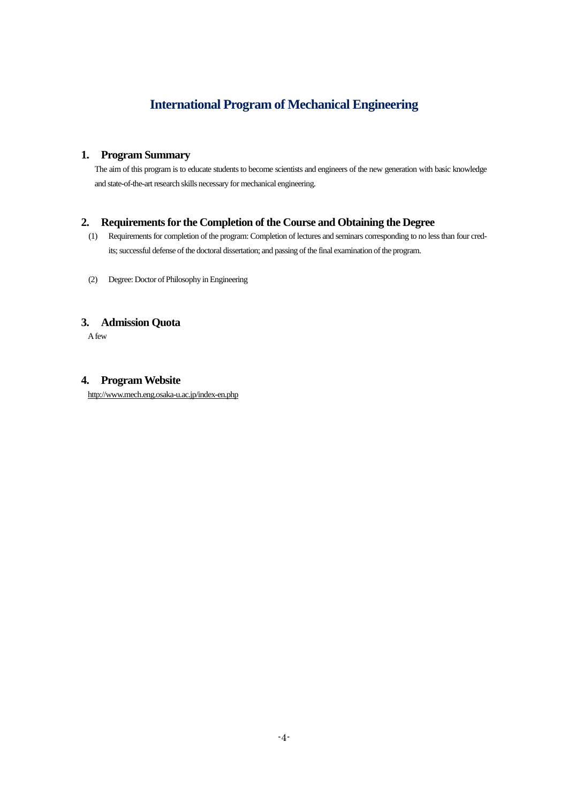## **International Program of Mechanical Engineering**

### **1. Program Summary**

The aim of this program is to educate students to become scientists and engineers of the new generation with basic knowledge and state-of-the-art research skills necessary for mechanical engineering.

### **2. Requirements for the Completion of the Course and Obtaining the Degree**

- (1) Requirements for completion of the program: Completion of lectures and seminars corresponding to no less than four credits; successful defense of the doctoral dissertation; and passing of the final examination of the program.
- (2) Degree: Doctor of Philosophy in Engineering

### **3. Admission Quota**

A few

#### **4. Program Website**

http://www.mech.eng.osaka-u.ac.jp/index-en.php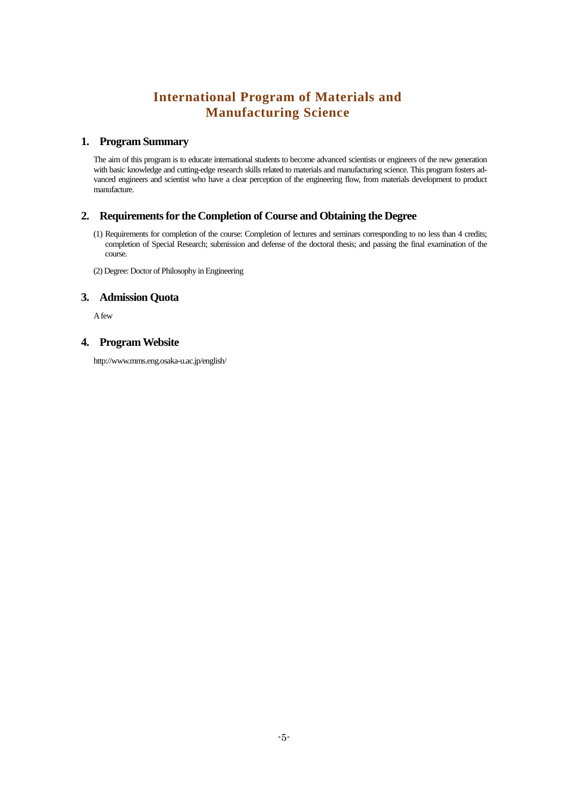## **International Program of Materials and Manufacturing Science**

#### **1. Program Summary**

The aim of this program is to educate international students to become advanced scientists or engineers of the new generation with basic knowledge and cutting-edge research skills related to materials and manufacturing science. This program fosters advanced engineers and scientist who have a clear perception of the engineering flow, from materials development to product manufacture.

#### **2. Requirements for the Completion of Course and Obtaining the Degree**

(1) Requirements for completion of the course: Completion of lectures and seminars corresponding to no less than 4 credits; completion of Special Research; submission and defense of the doctoral thesis; and passing the final examination of the course.

(2) Degree: Doctor of Philosophy in Engineering

#### **3. Admission Quota**

A few

#### **4. Program Website**

http://www.mms.eng.osaka-u.ac.jp/english/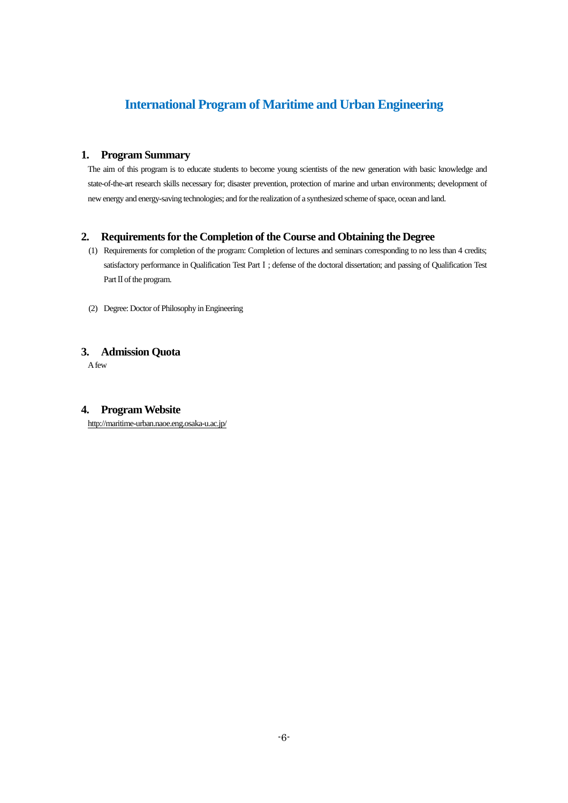## **International Program of Maritime and Urban Engineering**

#### **1. Program Summary**

The aim of this program is to educate students to become young scientists of the new generation with basic knowledge and state-of-the-art research skills necessary for; disaster prevention, protection of marine and urban environments; development of new energy and energy-saving technologies; and for the realization of a synthesized scheme of space, ocean and land.

#### **2. Requirements for the Completion of the Course and Obtaining the Degree**

- (1) Requirements for completion of the program: Completion of lectures and seminars corresponding to no less than 4 credits; satisfactory performance in Qualification Test Part I ; defense of the doctoral dissertation; and passing of Qualification Test Part II of the program.
- (2) Degree: Doctor of Philosophy in Engineering

### **3. Admission Quota**

A few

### **4. Program Website**

<http://maritime-urban.naoe.eng.osaka-u.ac.jp/>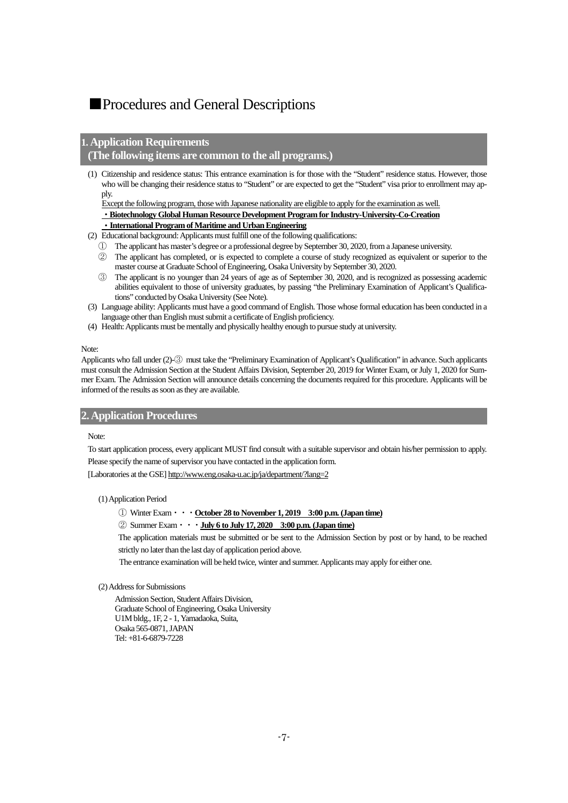## <span id="page-8-0"></span>■Procedures and General Descriptions

#### **1. Application Requirements**

#### **(The following items are common to the all programs.)**

(1) Citizenship and residence status: This entrance examination is for those with the "Student" residence status. However, those who will be changing their residence status to "Student" or are expected to get the "Student" visa prior to enrollment may apply.

Except the following program, those with Japanese nationality are eligible to apply for the examination as well.

・**Biotechnology Global Human Resource Development Program for Industry-University-Co-Creation**

#### ・**International Program of Maritime and Urban Engineering**

- (2) Educational background: Applicants must fulfill one of the following qualifications:
	- ① The applicant has master's degree or a professional degree by September 30, 2020, from a Japanese university.
	- ② The applicant has completed, or is expected to complete a course of study recognized as equivalent or superior to the master course at Graduate School of Engineering, Osaka University by September 30, 2020.
	- ③ The applicant is no younger than 24 years of age as of September 30, 2020, and is recognized as possessing academic abilities equivalent to those of university graduates, by passing "the Preliminary Examination of Applicant's Qualifications" conducted by Osaka University (See Note).
- (3) Language ability: Applicants must have a good command of English. Those whose formal education has been conducted in a language other than English must submit a certificate of English proficiency.
- (4) Health: Applicants must be mentally and physically healthy enough to pursue study at university.

#### Note:

Applicants who fall under (2)-③ must take the "Preliminary Examination of Applicant's Qualification" in advance. Such applicants must consult the Admission Section at the Student Affairs Division, September 20, 2019 for Winter Exam, or July 1, 2020 for Summer Exam. The Admission Section will announce details concerning the documents required for this procedure. Applicants will be informed of the results as soon as they are available.

#### <span id="page-8-1"></span>**2. Application Procedures**

#### Note:

To start application process, every applicant MUST find consult with a suitable supervisor and obtain his/her permission to apply. Please specify the name of supervisor you have contacted in the application form.

[Laboratories at the GSE] http://www.eng.osaka-u.ac.jp/ja/department/?lang=2

#### <span id="page-8-2"></span>(1) Application Period

- ① Winter Exam・・・**October 28 to November 1, 2019 3:00 p.m. (Japan time)**
- ② Summer Exam・・・**July 6 to July 17, 2020 3:00 p.m. (Japan time)**

The application materials must be submitted or be sent to the Admission Section by post or by hand, to be reached strictly no later than the last day of application period above.

The entrance examination will be held twice, winter and summer. Applicants may apply for either one.

#### <span id="page-8-3"></span>(2) Address for Submissions

Admission Section, Student Affairs Division, Graduate School of Engineering, Osaka University U1M bldg., 1F, 2 - 1, Yamadaoka, Suita, Osaka 565-0871, JAPAN Tel: +81-6-6879-7228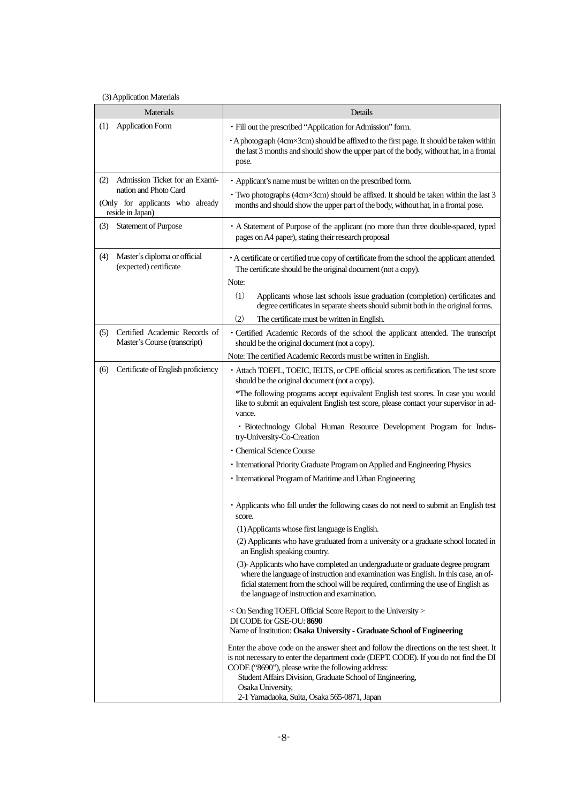#### <span id="page-9-0"></span>(3) Application Materials

| Materials                                                                     |                                                               | Details                                                                                                                                                                                                                                                                                                     |  |
|-------------------------------------------------------------------------------|---------------------------------------------------------------|-------------------------------------------------------------------------------------------------------------------------------------------------------------------------------------------------------------------------------------------------------------------------------------------------------------|--|
| (1)                                                                           | <b>Application Form</b>                                       | · Fill out the prescribed "Application for Admission" form.                                                                                                                                                                                                                                                 |  |
|                                                                               |                                                               | • A photograph (4cm×3cm) should be affixed to the first page. It should be taken within<br>the last 3 months and should show the upper part of the body, without hat, in a frontal<br>pose.                                                                                                                 |  |
| (2)                                                                           | Admission Ticket for an Exami-                                | • Applicant's name must be written on the prescribed form.                                                                                                                                                                                                                                                  |  |
| nation and Photo Card<br>(Only for applicants who already<br>reside in Japan) |                                                               | · Two photographs (4cm×3cm) should be affixed. It should be taken within the last 3<br>months and should show the upper part of the body, without hat, in a frontal pose.                                                                                                                                   |  |
| (3)                                                                           | <b>Statement of Purpose</b>                                   | • A Statement of Purpose of the applicant (no more than three double-spaced, typed<br>pages on A4 paper), stating their research proposal                                                                                                                                                                   |  |
| (4)                                                                           | Master's diploma or official<br>(expected) certificate        | • A certificate or certified true copy of certificate from the school the applicant attended.<br>The certificate should be the original document (not a copy).<br>Note:                                                                                                                                     |  |
|                                                                               |                                                               | (1)<br>Applicants whose last schools issue graduation (completion) certificates and<br>degree certificates in separate sheets should submit both in the original forms.                                                                                                                                     |  |
|                                                                               |                                                               | (2)<br>The certificate must be written in English.                                                                                                                                                                                                                                                          |  |
| (5)                                                                           | Certified Academic Records of<br>Master's Course (transcript) | • Certified Academic Records of the school the applicant attended. The transcript<br>should be the original document (not a copy).                                                                                                                                                                          |  |
|                                                                               |                                                               | Note: The certified Academic Records must be written in English.                                                                                                                                                                                                                                            |  |
| (6)                                                                           | Certificate of English proficiency                            | · Attach TOEFL, TOEIC, IELTS, or CPE official scores as certification. The test score<br>should be the original document (not a copy).                                                                                                                                                                      |  |
|                                                                               |                                                               | *The following programs accept equivalent English test scores. In case you would<br>like to submit an equivalent English test score, please contact your supervisor in ad-<br>vance.                                                                                                                        |  |
|                                                                               |                                                               | · Biotechnology Global Human Resource Development Program for Indus-<br>try-University-Co-Creation                                                                                                                                                                                                          |  |
|                                                                               |                                                               | · Chemical Science Course                                                                                                                                                                                                                                                                                   |  |
|                                                                               |                                                               | • International Priority Graduate Program on Applied and Engineering Physics                                                                                                                                                                                                                                |  |
|                                                                               |                                                               | · International Program of Maritime and Urban Engineering                                                                                                                                                                                                                                                   |  |
|                                                                               |                                                               | • Applicants who fall under the following cases do not need to submit an English test<br>score.                                                                                                                                                                                                             |  |
|                                                                               |                                                               | (1) Applicants whose first language is English.                                                                                                                                                                                                                                                             |  |
|                                                                               |                                                               | (2) Applicants who have graduated from a university or a graduate school located in<br>an English speaking country.                                                                                                                                                                                         |  |
|                                                                               |                                                               | (3)-Applicants who have completed an undergraduate or graduate degree program<br>where the language of instruction and examination was English. In this case, an of-<br>ficial statement from the school will be required, confirming the use of English as<br>the language of instruction and examination. |  |
|                                                                               |                                                               | < On Sending TOEFL Official Score Report to the University ><br>DI CODE for GSE-OU: 8690                                                                                                                                                                                                                    |  |
|                                                                               |                                                               | Name of Institution: Osaka University - Graduate School of Engineering                                                                                                                                                                                                                                      |  |
|                                                                               |                                                               | Enter the above code on the answer sheet and follow the directions on the test sheet. It<br>is not necessary to enter the department code (DEPT. CODE). If you do not find the DI<br>CODE ("8690"), please write the following address:                                                                     |  |
|                                                                               |                                                               | Student Affairs Division, Graduate School of Engineering,<br>Osaka University,<br>2-1 Yamadaoka, Suita, Osaka 565-0871, Japan                                                                                                                                                                               |  |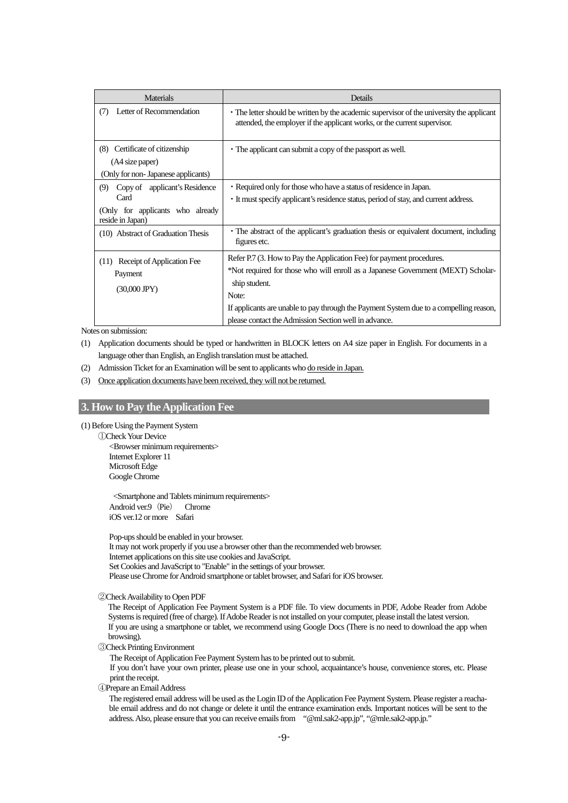| <b>Materials</b>                                                                                     | Details                                                                                                                                                                                                                                                                                                                                |  |
|------------------------------------------------------------------------------------------------------|----------------------------------------------------------------------------------------------------------------------------------------------------------------------------------------------------------------------------------------------------------------------------------------------------------------------------------------|--|
| Letter of Recommendation<br>(7)                                                                      | • The letter should be written by the academic supervisor of the university the applicant<br>attended, the employer if the applicant works, or the current supervisor.                                                                                                                                                                 |  |
| Certificate of citizenship<br>(8)<br>(A4 size paper)<br>(Only for non- Japanese applicants)          | • The applicant can submit a copy of the passport as well.                                                                                                                                                                                                                                                                             |  |
| Copy of applicant's Residence<br>(9)<br>Card<br>(Only for applicants who already<br>reside in Japan) | • Required only for those who have a status of residence in Japan.<br>• It must specify applicant's residence status, period of stay, and current address.                                                                                                                                                                             |  |
| (10) Abstract of Graduation Thesis                                                                   | • The abstract of the applicant's graduation thesis or equivalent document, including<br>figures etc.                                                                                                                                                                                                                                  |  |
| Receipt of Application Fee<br>(11)<br>Payment<br>$(30,000$ JPY $)$                                   | Refer P.7 (3. How to Pay the Application Fee) for payment procedures.<br>*Not required for those who will enroll as a Japanese Government (MEXT) Scholar-<br>ship student.<br>Note:<br>If applicants are unable to pay through the Payment System due to a compelling reason,<br>please contact the Admission Section well in advance. |  |

Notes on submission:

- (1) Application documents should be typed or handwritten in BLOCK letters on A4 size paper in English. For documents in a language other than English, an English translation must be attached.
- (2) Admission Ticket for an Examination will be sent to applicants who do reside in Japan.
- (3) Once application documents have been received, they will not be returned.

### <span id="page-10-0"></span>**3. How to Pay the Application Fee**

(1) Before Using the Payment System

①Check Your Device

<Browser minimum requirements> Internet Explorer 11 Microsoft Edge Google Chrome

<Smartphone and Tablets minimum requirements> Android ver.9 (Pie) Chrome iOS ver.12 or more Safari

Pop-ups should be enabled in your browser.

It may not work properly if you use a browser other than the recommended web browser. Internet applications on this site use cookies and JavaScript.

Set Cookies and JavaScript to "Enable" in the settings of your browser.

Please use Chrome for Android smartphone or tablet browser, and Safari for iOS browser.

②Check Availability to Open PDF

The Receipt of Application Fee Payment System is a PDF file. To view documents in PDF, Adobe Reader from Adobe Systems is required (free of charge). If Adobe Reader is not installed on your computer, please install the latest version. If you are using a smartphone or tablet, we recommend using Google Docs (There is no need to download the app when browsing).

③Check Printing Environment

The Receipt of Application Fee Payment System has to be printed out to submit.

If you don't have your own printer, please use one in your school, acquaintance's house, convenience stores, etc. Please print the receipt.

④Prepare an Email Address

The registered email address will be used as the Login ID of the Application Fee Payment System. Please register a reachable email address and do not change or delete it until the entrance examination ends. Important notices will be sent to the address. Also, please ensure that you can receive emails from "@ml.sak2-app.jp", "@mle.sak2-app.jp."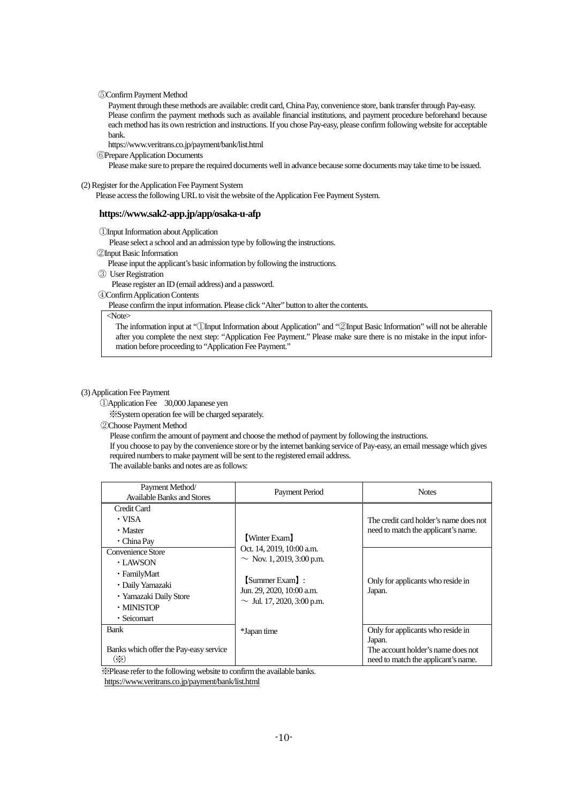⑤Confirm Payment Method

Payment through these methods are available: credit card, China Pay, convenience store, bank transfer through Pay-easy. Please confirm the payment methods such as available financial institutions, and payment procedure beforehand because each method has its own restriction and instructions. If you chose Pay-easy, please confirm following website for acceptable bank.

https://www.veritrans.co.jp/payment/bank/list.html

⑥Prepare Application Documents

Please make sure to prepare the required documents well in advance because some documents may take time to be issued.

(2) Register for the Application Fee Payment System

Please access the following URL to visit the website of the Application Fee Payment System.

#### **https://www.sak2-app.jp/app/osaka-u-afp**

①Input Information about Application

Please select a school and an admission type by following the instructions.

②Input Basic Information

Please input the applicant's basic information by following the instructions.

③ User Registration

Please register an ID (email address) and a password.

④Confirm Application Contents

Please confirm the input information. Please click "Alter" button to alter the contents.

<Note>

The information input at "①Input Information about Application" and "②Input Basic Information" will not be alterable after you complete the next step: "Application Fee Payment." Please make sure there is no mistake in the input information before proceeding to "Application Fee Payment."

#### (3) Application Fee Payment

①Application Fee 30,000 Japanese yen

※System operation fee will be charged separately.

②Choose Payment Method

Please confirm the amount of payment and choose the method of payment by following the instructions.

If you choose to pay by the convenience store or by the internet banking service of Pay-easy, an email message which gives required numbers to make payment will be sent to the registered email address.

The available banks and notes are as follows:

| Payment Method/<br><b>Available Banks and Stores</b>                                                                     | Payment Period                                                                                                                                                 | <b>Notes</b>                                                                                                             |
|--------------------------------------------------------------------------------------------------------------------------|----------------------------------------------------------------------------------------------------------------------------------------------------------------|--------------------------------------------------------------------------------------------------------------------------|
| Credit Card<br>• VISA<br>• Master<br>$\cdot$ China Pay                                                                   | [Winter Exam]<br>Oct. 14, 2019, 10:00 a.m.<br>$\sim$ Nov. 1, 2019, 3:00 p.m.<br>[Summer Exam]:<br>Jun. 29, 2020, 10:00 a.m.<br>$\sim$ Jul. 17, 2020, 3:00 p.m. | The credit card holder's name does not<br>need to match the applicant's name.                                            |
| Convenience Store<br>• LAWSON<br>• FamilyMart<br>• Daily Yamazaki<br>· Yamazaki Daily Store<br>· MINISTOP<br>· Seicomart |                                                                                                                                                                | Only for applicants who reside in<br>Japan.                                                                              |
| <b>Bank</b><br>Banks which offer the Pay-easy service<br>$(\cdot)$                                                       | *Japan time                                                                                                                                                    | Only for applicants who reside in<br>Japan.<br>The account holder's name does not<br>need to match the applicant's name. |

※Please refer to the following website to confirm the available banks.

<https://www.veritrans.co.jp/payment/bank/list.html>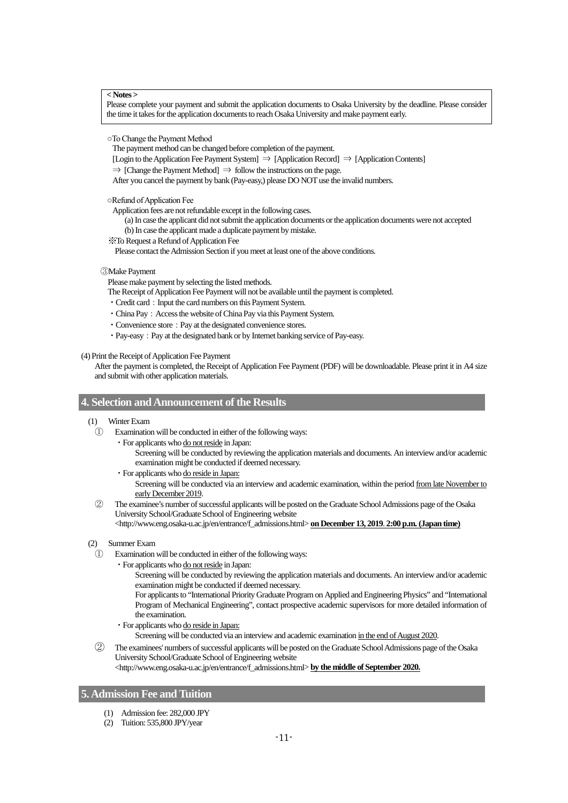**< Notes >**

Please complete your payment and submit the application documents to Osaka University by the deadline. Please consider the time it takes for the application documents to reach Osaka University and make payment early.

○To Change the Payment Method

The payment method can be changed before completion of the payment.

[Login to the Application Fee Payment System] ⇒ [Application Record] ⇒ [Application Contents]

 $\Rightarrow$  [Change the Payment Method]  $\Rightarrow$  follow the instructions on the page.

After you cancel the payment by bank (Pay-easy,) please DO NOT use the invalid numbers.

○Refund of Application Fee

Application fees are not refundable except in the following cases.

(a) In case the applicant did not submit the application documents or the application documents were not accepted

(b) In case the applicant made a duplicate payment by mistake.

※To Request a Refund of Application Fee

Please contact the Admission Section if you meet at least one of the above conditions.

③Make Payment

Please make payment by selecting the listed methods.

The Receipt of Application Fee Payment will not be available until the payment is completed.

- Credit card: Input the card numbers on this Payment System.
- China Pay: Access the website of China Pay via this Payment System.
- Convenience store: Pay at the designated convenience stores.
- Pay-easy: Pay at the designated bank or by Internet banking service of Pay-easy.

(4) Print the Receipt of Application Fee Payment

After the payment is completed, the Receipt of Application Fee Payment (PDF) will be downloadable. Please print it in A4 size and submit with other application materials.

#### <span id="page-12-0"></span>**4. Selection and Announcement of the Results**

- (1) Winter Exam
	- ① Examination will be conducted in either of the following ways:

・For applicants who do not reside in Japan: Screening will be conducted by reviewing the application materials and documents. An interview and/or academic examination might be conducted if deemed necessary.

- ・For applicants who do reside in Japan: Screening will be conducted via an interview and academic examination, within the period from late November to early December 2019.
- ② The examinee's number of successful applicants will be posted on the Graduate School Admissions page of the Osaka University School/Graduate School of Engineering website

[<http://www.eng.osaka-u.ac.jp/en/entrance/f\\_admissions.html>](http://www.eng.osaka-u.ac.jp/en/entrance/f_admissions.html) **on December 13, 2019**. **2:00 p.m. (Japan time)**

#### (2) Summer Exam

- Examination will be conducted in either of the following ways:
	- ・For applicants who do not reside in Japan:
		- Screening will be conducted by reviewing the application materials and documents. An interview and/or academic examination might be conducted if deemed necessary.
		- For applicants to "International Priority Graduate Program on Applied and Engineering Physics" and "International Program of Mechanical Engineering", contact prospective academic supervisors for more detailed information of the examination.
		- ・For applicants who do reside in Japan:

Screening will be conducted via an interview and academic examination in the end of August 2020.

The examinees' numbers of successful applicants will be posted on the Graduate School Admissions page of the Osaka University School/Graduate School of Engineering website

[<http://www.eng.osaka-u.ac.jp/en/entrance/f\\_admissions.html>](http://www.eng.osaka-u.ac.jp/en/entrance/f_admissions.html) **by the middle of September 2020.**

#### <span id="page-12-1"></span>**5. Admission Fee and Tuition**

- (1) Admission fee: 282,000 JPY
- (2) Tuition: 535,800 JPY/year